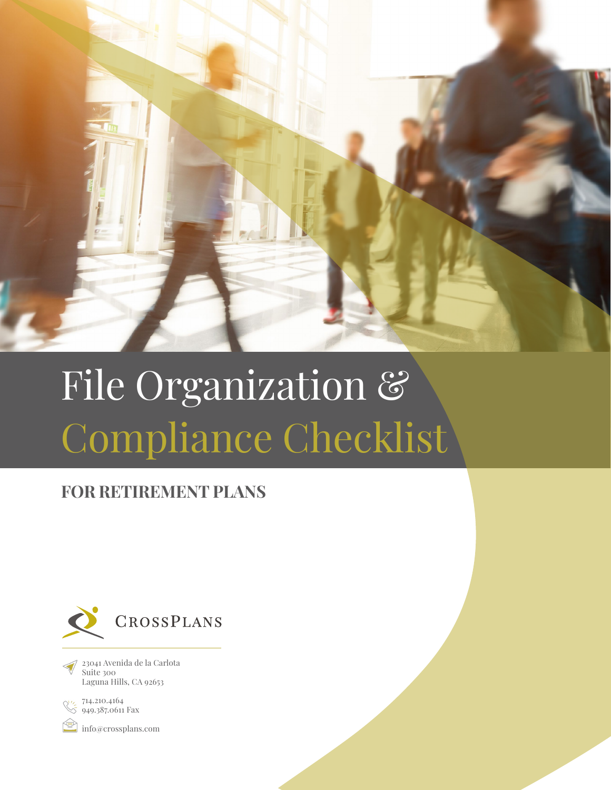

# File Organization & Compliance Checklist

## **FOR RETIREMENT PLANS**



23041 Avenida de la Carlota Suite 300 Laguna Hills, CA 92653



[info@crossplans.com](mailto:info@crossplans.com)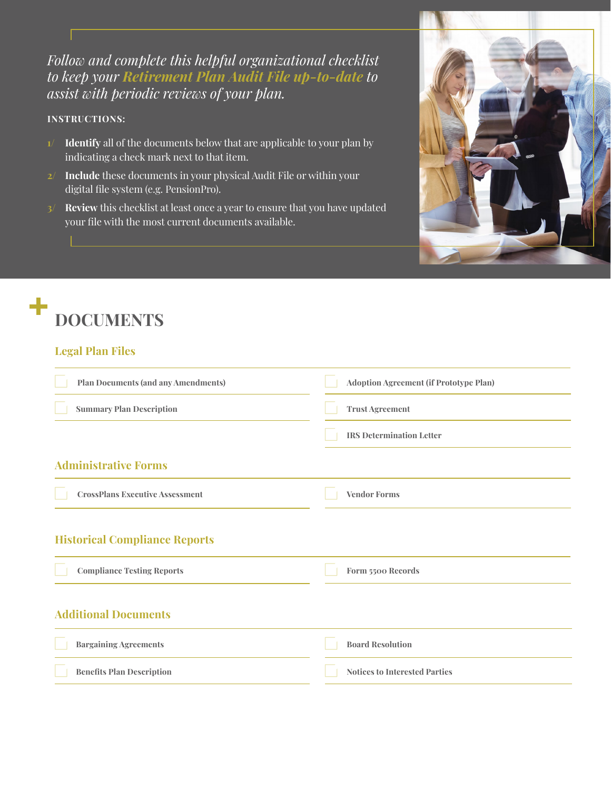*Follow and complete this helpful organizational checklist to keep your Retirement Plan Audit File up-to-date to assist with periodic reviews of your plan.*

#### **INSTRUCTIONS:**

- **1/ Identify** all of the documents below that are applicable to your plan by indicating a check mark next to that item.
- **2/ Include** these documents in your physical Audit File or within your digital file system (e.g. PensionPro).
- **3/ Review** this checklist at least once a year to ensure that you have updated your file with the most current documents available.



#### **Legal Plan Files**

| <b>Plan Documents (and any Amendments)</b> | Adoption Agreement (if Prototype Plan) |
|--------------------------------------------|----------------------------------------|
| <b>Summary Plan Description</b>            | <b>Trust Agreement</b>                 |
|                                            | <b>IRS Determination Letter</b>        |
| <b>Administrative Forms</b>                |                                        |
| <b>CrossPlans Executive Assessment</b>     | <b>Vendor Forms</b>                    |
| <b>Historical Compliance Reports</b>       |                                        |
| <b>Compliance Testing Reports</b>          | Form 5500 Records                      |
| <b>Additional Documents</b>                |                                        |
| <b>Bargaining Agreements</b>               | <b>Board Resolution</b>                |
| <b>Benefits Plan Description</b>           | <b>Notices to Interested Parties</b>   |

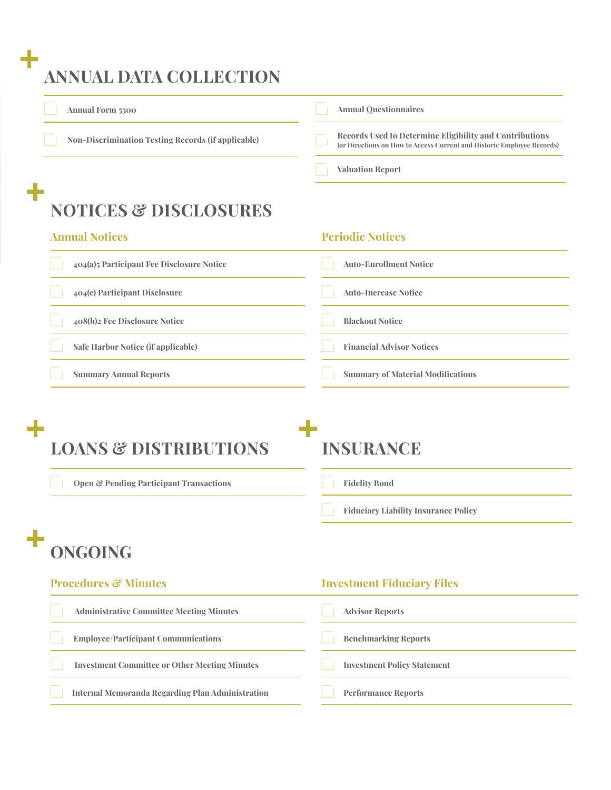## **ANNUAL DATA COLLECTION Annual Form 5500 Annual Questionnaires Non-Discrimination Testing Records (if applicable) Records Used to Determine Eligibility and Contributions (or Directions on How to Access Current and Historic Employee Records) Valuation Report**  $\ddot{\phantom{1}}$ **NOTICES & DISCLOSURES Annual Notices Periodic Notices 404(a)5 Participant Fee Disclosure Notice Auto-Enrollment Notice 404(c) Participant Disclosure Auto-Increase Notice 408(b)2 Fee Disclosure Notice Blackout Notice**

**Safe Harbor Notice (if applicable)**

**Summary Annual Reports**

# **INSURANCE**

**Open & Pending Participant Transactions**

**LOANS & DISTRIBUTIONS**

#### **Fidelity Bond**

**Fiduciary Liability Insurance Policy**

**Summary of Material Modifications**

**Financial Advisor Notices**

### ╉ **ONGOING**

| <b>Procedures &amp; Minutes</b>                      | <b>Investment Fiduciary Files</b>  |
|------------------------------------------------------|------------------------------------|
| <b>Administrative Committee Meeting Minutes</b>      | <b>Advisor Reports</b>             |
| <b>Employee/Participant Communications</b>           | <b>Benchmarking Reports</b>        |
| <b>Investment Committee or Other Meeting Minutes</b> | <b>Investment Policy Statement</b> |
| Internal Memoranda Regarding Plan Administration     | <b>Performance Reports</b>         |